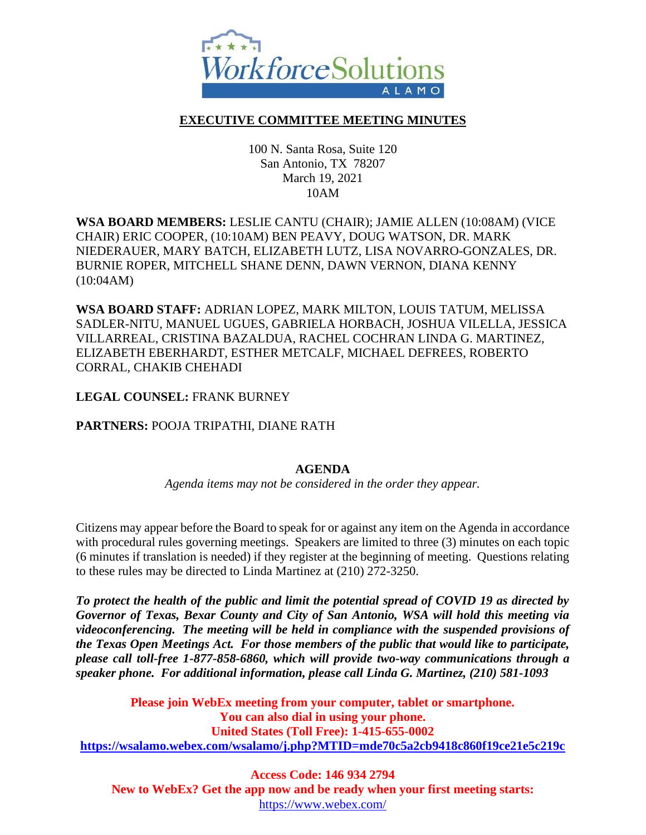

## **EXECUTIVE COMMITTEE MEETING MINUTES**

100 N. Santa Rosa, Suite 120 San Antonio, TX 78207 March 19, 2021 10AM

## **WSA BOARD MEMBERS:** LESLIE CANTU (CHAIR); JAMIE ALLEN (10:08AM) (VICE CHAIR) ERIC COOPER, (10:10AM) BEN PEAVY, DOUG WATSON, DR. MARK NIEDERAUER, MARY BATCH, ELIZABETH LUTZ, LISA NOVARRO-GONZALES, DR. BURNIE ROPER, MITCHELL SHANE DENN, DAWN VERNON, DIANA KENNY (10:04AM)

**WSA BOARD STAFF:** ADRIAN LOPEZ, MARK MILTON, LOUIS TATUM, MELISSA SADLER-NITU, MANUEL UGUES, GABRIELA HORBACH, JOSHUA VILELLA, JESSICA VILLARREAL, CRISTINA BAZALDUA, RACHEL COCHRAN LINDA G. MARTINEZ, ELIZABETH EBERHARDT, ESTHER METCALF, MICHAEL DEFREES, ROBERTO CORRAL, CHAKIB CHEHADI

**LEGAL COUNSEL:** FRANK BURNEY

**PARTNERS:** POOJA TRIPATHI, DIANE RATH

## **AGENDA**

*Agenda items may not be considered in the order they appear.*

Citizens may appear before the Board to speak for or against any item on the Agenda in accordance with procedural rules governing meetings. Speakers are limited to three (3) minutes on each topic (6 minutes if translation is needed) if they register at the beginning of meeting. Questions relating to these rules may be directed to Linda Martinez at (210) 272-3250.

*To protect the health of the public and limit the potential spread of COVID 19 as directed by Governor of Texas, Bexar County and City of San Antonio, WSA will hold this meeting via videoconferencing. The meeting will be held in compliance with the suspended provisions of the Texas Open Meetings Act. For those members of the public that would like to participate, please call toll-free 1-877-858-6860, which will provide two-way communications through a speaker phone. For additional information, please call Linda G. Martinez, (210) 581-1093*

**Please join WebEx meeting from your computer, tablet or smartphone. You can also dial in using your phone. United States (Toll Free): 1-415-655-0002 <https://wsalamo.webex.com/wsalamo/j.php?MTID=mde70c5a2cb9418c860f19ce21e5c219c>**

**Access Code: 146 934 2794 New to WebEx? Get the app now and be ready when your first meeting starts:**  <https://www.webex.com/>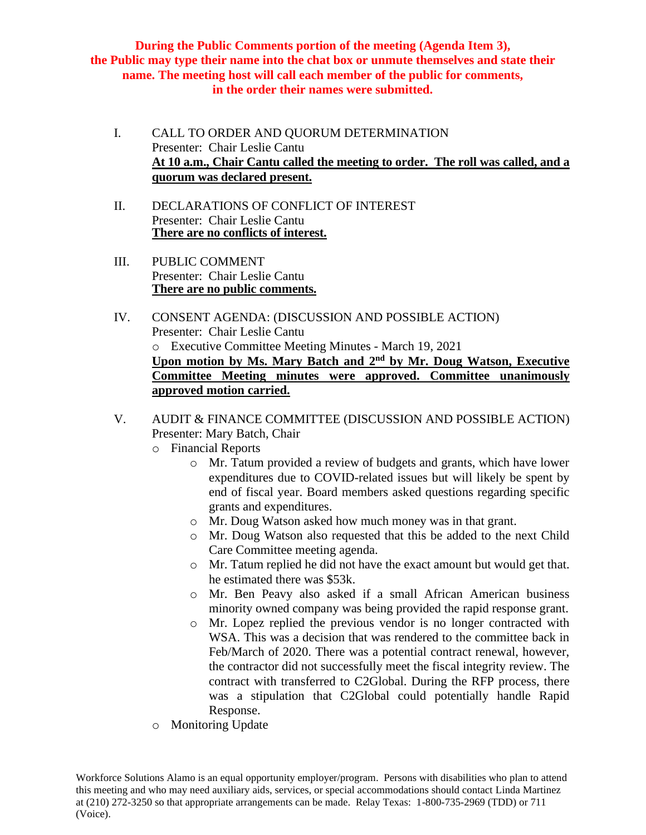**During the Public Comments portion of the meeting (Agenda Item 3), the Public may type their name into the chat box or unmute themselves and state their name. The meeting host will call each member of the public for comments, in the order their names were submitted.**

- I. CALL TO ORDER AND QUORUM DETERMINATION Presenter: Chair Leslie Cantu **At 10 a.m., Chair Cantu called the meeting to order. The roll was called, and a quorum was declared present.**
- II. DECLARATIONS OF CONFLICT OF INTEREST Presenter: Chair Leslie Cantu **There are no conflicts of interest.**
- III. PUBLIC COMMENT Presenter: Chair Leslie Cantu **There are no public comments.**
- IV. CONSENT AGENDA: (DISCUSSION AND POSSIBLE ACTION) Presenter: Chair Leslie Cantu o Executive Committee Meeting Minutes - March 19, 2021 **Upon motion by Ms. Mary Batch and 2nd by Mr. Doug Watson, Executive Committee Meeting minutes were approved. Committee unanimously approved motion carried.**
- V. AUDIT & FINANCE COMMITTEE (DISCUSSION AND POSSIBLE ACTION) Presenter: Mary Batch, Chair
	- o Financial Reports
		- o Mr. Tatum provided a review of budgets and grants, which have lower expenditures due to COVID-related issues but will likely be spent by end of fiscal year. Board members asked questions regarding specific grants and expenditures.
		- o Mr. Doug Watson asked how much money was in that grant.
		- o Mr. Doug Watson also requested that this be added to the next Child Care Committee meeting agenda.
		- o Mr. Tatum replied he did not have the exact amount but would get that. he estimated there was \$53k.
		- o Mr. Ben Peavy also asked if a small African American business minority owned company was being provided the rapid response grant.
		- o Mr. Lopez replied the previous vendor is no longer contracted with WSA. This was a decision that was rendered to the committee back in Feb/March of 2020. There was a potential contract renewal, however, the contractor did not successfully meet the fiscal integrity review. The contract with transferred to C2Global. During the RFP process, there was a stipulation that C2Global could potentially handle Rapid Response.
	- o Monitoring Update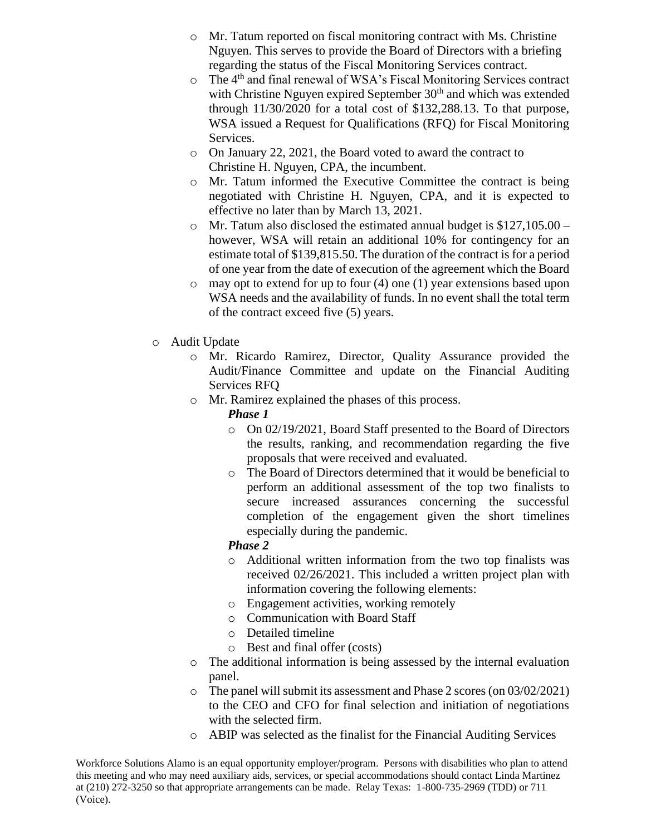- o Mr. Tatum reported on fiscal monitoring contract with Ms. Christine Nguyen. This serves to provide the Board of Directors with a briefing regarding the status of the Fiscal Monitoring Services contract.
- o The 4th and final renewal of WSA's Fiscal Monitoring Services contract with Christine Nguyen expired September  $30<sup>th</sup>$  and which was extended through 11/30/2020 for a total cost of \$132,288.13. To that purpose, WSA issued a Request for Qualifications (RFQ) for Fiscal Monitoring Services.
- o On January 22, 2021, the Board voted to award the contract to Christine H. Nguyen, CPA, the incumbent.
- o Mr. Tatum informed the Executive Committee the contract is being negotiated with Christine H. Nguyen, CPA, and it is expected to effective no later than by March 13, 2021.
- o Mr. Tatum also disclosed the estimated annual budget is \$127,105.00 however, WSA will retain an additional 10% for contingency for an estimate total of \$139,815.50. The duration of the contract is for a period of one year from the date of execution of the agreement which the Board
- o may opt to extend for up to four (4) one (1) year extensions based upon WSA needs and the availability of funds. In no event shall the total term of the contract exceed five (5) years.
- o Audit Update
	- o Mr. Ricardo Ramirez, Director, Quality Assurance provided the Audit/Finance Committee and update on the Financial Auditing Services RFQ
	- o Mr. Ramirez explained the phases of this process.
		- *Phase 1*
			- o On 02/19/2021, Board Staff presented to the Board of Directors the results, ranking, and recommendation regarding the five proposals that were received and evaluated.
			- o The Board of Directors determined that it would be beneficial to perform an additional assessment of the top two finalists to secure increased assurances concerning the successful completion of the engagement given the short timelines especially during the pandemic.

## *Phase 2*

- o Additional written information from the two top finalists was received 02/26/2021. This included a written project plan with information covering the following elements:
- o Engagement activities, working remotely
- o Communication with Board Staff
- o Detailed timeline
- o Best and final offer (costs)
- o The additional information is being assessed by the internal evaluation panel.
- o The panel will submit its assessment and Phase 2 scores (on 03/02/2021) to the CEO and CFO for final selection and initiation of negotiations with the selected firm.
- o ABIP was selected as the finalist for the Financial Auditing Services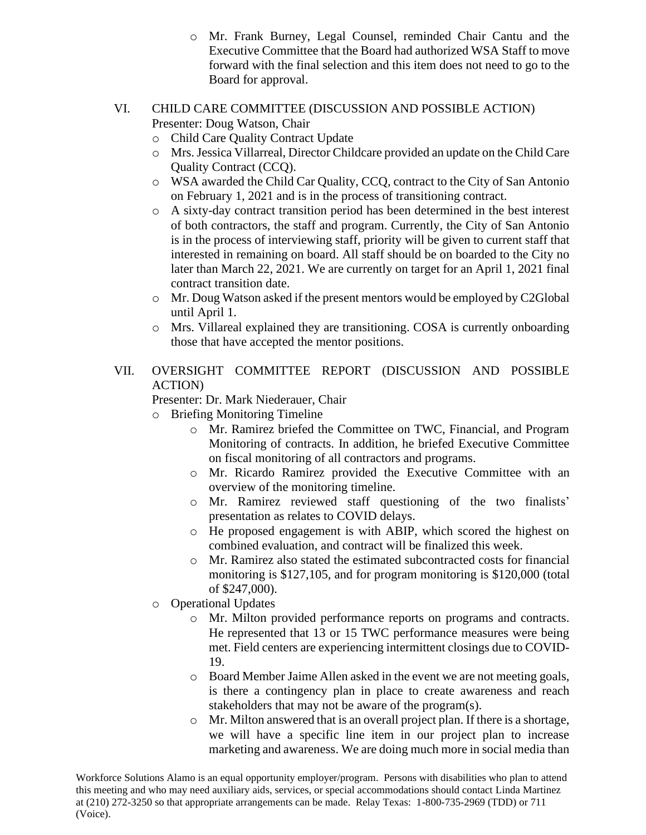- o Mr. Frank Burney, Legal Counsel, reminded Chair Cantu and the Executive Committee that the Board had authorized WSA Staff to move forward with the final selection and this item does not need to go to the Board for approval.
- VI. CHILD CARE COMMITTEE (DISCUSSION AND POSSIBLE ACTION) Presenter: Doug Watson, Chair
	- o Child Care Quality Contract Update
	- o Mrs. Jessica Villarreal, Director Childcare provided an update on the Child Care Quality Contract (CCQ).
	- o WSA awarded the Child Car Quality, CCQ, contract to the City of San Antonio on February 1, 2021 and is in the process of transitioning contract.
	- o A sixty-day contract transition period has been determined in the best interest of both contractors, the staff and program. Currently, the City of San Antonio is in the process of interviewing staff, priority will be given to current staff that interested in remaining on board. All staff should be on boarded to the City no later than March 22, 2021. We are currently on target for an April 1, 2021 final contract transition date.
	- o Mr. Doug Watson asked if the present mentors would be employed by C2Global until April 1.
	- o Mrs. Villareal explained they are transitioning. COSA is currently onboarding those that have accepted the mentor positions.

# VII. OVERSIGHT COMMITTEE REPORT (DISCUSSION AND POSSIBLE ACTION)

Presenter: Dr. Mark Niederauer, Chair

o Briefing Monitoring Timeline

- o Mr. Ramirez briefed the Committee on TWC, Financial, and Program Monitoring of contracts. In addition, he briefed Executive Committee on fiscal monitoring of all contractors and programs.
- o Mr. Ricardo Ramirez provided the Executive Committee with an overview of the monitoring timeline.
- o Mr. Ramirez reviewed staff questioning of the two finalists' presentation as relates to COVID delays.
- o He proposed engagement is with ABIP, which scored the highest on combined evaluation, and contract will be finalized this week.
- o Mr. Ramirez also stated the estimated subcontracted costs for financial monitoring is \$127,105, and for program monitoring is \$120,000 (total of \$247,000).
- o Operational Updates
	- o Mr. Milton provided performance reports on programs and contracts. He represented that 13 or 15 TWC performance measures were being met. Field centers are experiencing intermittent closings due to COVID-19.
	- o Board Member Jaime Allen asked in the event we are not meeting goals, is there a contingency plan in place to create awareness and reach stakeholders that may not be aware of the program(s).
	- o Mr. Milton answered that is an overall project plan. If there is a shortage, we will have a specific line item in our project plan to increase marketing and awareness. We are doing much more in social media than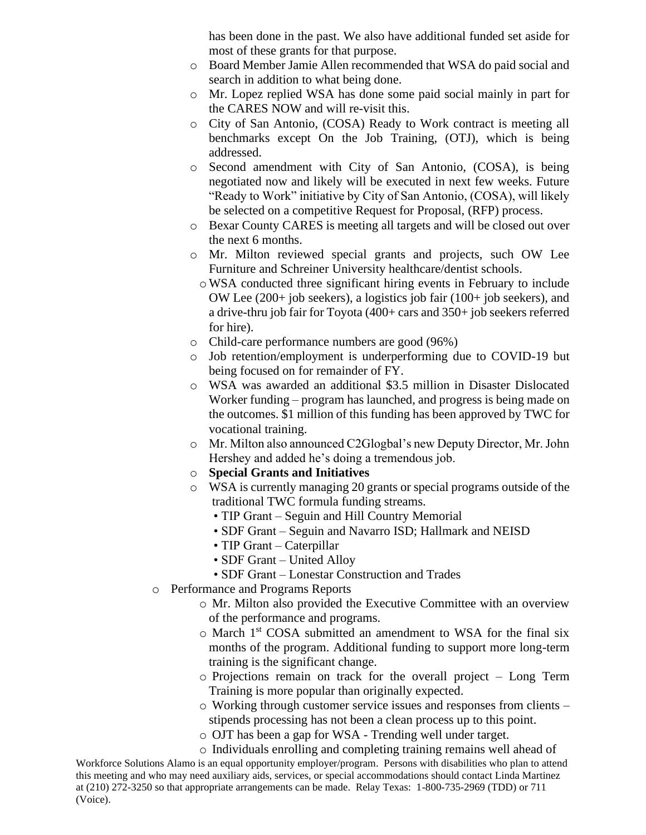has been done in the past. We also have additional funded set aside for most of these grants for that purpose.

- o Board Member Jamie Allen recommended that WSA do paid social and search in addition to what being done.
- o Mr. Lopez replied WSA has done some paid social mainly in part for the CARES NOW and will re-visit this.
- o City of San Antonio, (COSA) Ready to Work contract is meeting all benchmarks except On the Job Training, (OTJ), which is being addressed.
- o Second amendment with City of San Antonio, (COSA), is being negotiated now and likely will be executed in next few weeks. Future "Ready to Work" initiative by City of San Antonio, (COSA), will likely be selected on a competitive Request for Proposal, (RFP) process.
- o Bexar County CARES is meeting all targets and will be closed out over the next 6 months.
- o Mr. Milton reviewed special grants and projects, such OW Lee Furniture and Schreiner University healthcare/dentist schools.
	- oWSA conducted three significant hiring events in February to include OW Lee (200+ job seekers), a logistics job fair (100+ job seekers), and a drive-thru job fair for Toyota (400+ cars and 350+ job seekers referred for hire).
- o Child-care performance numbers are good (96%)
- o Job retention/employment is underperforming due to COVID-19 but being focused on for remainder of FY.
- o WSA was awarded an additional \$3.5 million in Disaster Dislocated Worker funding – program has launched, and progress is being made on the outcomes. \$1 million of this funding has been approved by TWC for vocational training.
- o Mr. Milton also announced C2Glogbal's new Deputy Director, Mr. John Hershey and added he's doing a tremendous job.
- o **Special Grants and Initiatives**
- o WSA is currently managing 20 grants or special programs outside of the traditional TWC formula funding streams.
	- TIP Grant Seguin and Hill Country Memorial
	- SDF Grant Seguin and Navarro ISD; Hallmark and NEISD
	- TIP Grant Caterpillar
	- SDF Grant United Alloy
	- SDF Grant Lonestar Construction and Trades
- o Performance and Programs Reports
	- o Mr. Milton also provided the Executive Committee with an overview of the performance and programs.
	- o March 1st COSA submitted an amendment to WSA for the final six months of the program. Additional funding to support more long-term training is the significant change.
	- o Projections remain on track for the overall project Long Term Training is more popular than originally expected.
	- o Working through customer service issues and responses from clients stipends processing has not been a clean process up to this point.
	- o OJT has been a gap for WSA Trending well under target.
- Workforce Solutions Alamo is an equal opportunity employer/program. Persons with disabilities who plan to attend this meeting and who may need auxiliary aids, services, or special accommodations should contact Linda Martinez at (210) 272-3250 so that appropriate arrangements can be made. Relay Texas: 1-800-735-2969 (TDD) or 711 (Voice). o Individuals enrolling and completing training remains well ahead of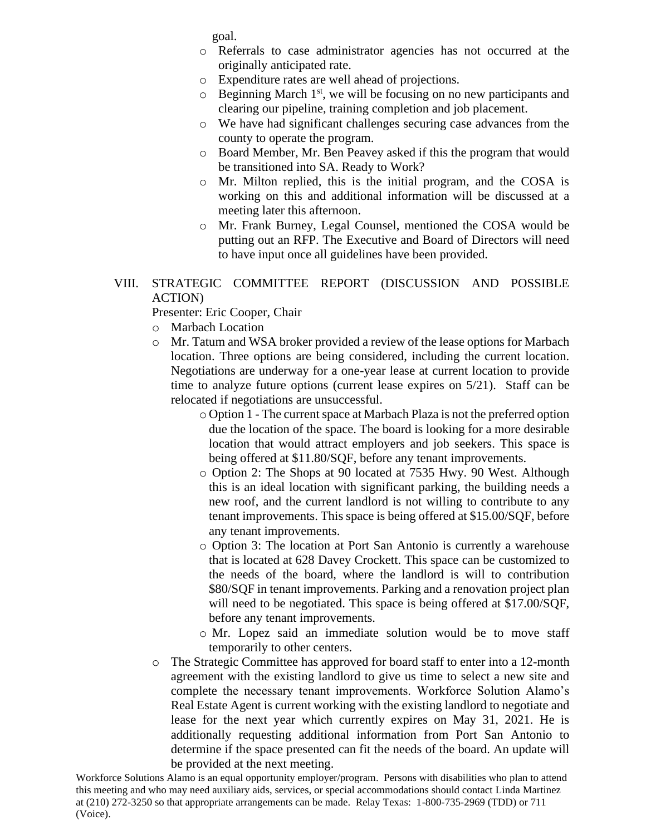goal.

- o Referrals to case administrator agencies has not occurred at the originally anticipated rate.
- o Expenditure rates are well ahead of projections.
- $\circ$  Beginning March 1<sup>st</sup>, we will be focusing on no new participants and clearing our pipeline, training completion and job placement.
- o We have had significant challenges securing case advances from the county to operate the program.
- o Board Member, Mr. Ben Peavey asked if this the program that would be transitioned into SA. Ready to Work?
- o Mr. Milton replied, this is the initial program, and the COSA is working on this and additional information will be discussed at a meeting later this afternoon.
- o Mr. Frank Burney, Legal Counsel, mentioned the COSA would be putting out an RFP. The Executive and Board of Directors will need to have input once all guidelines have been provided.

### VIII. STRATEGIC COMMITTEE REPORT (DISCUSSION AND POSSIBLE ACTION)

Presenter: Eric Cooper, Chair

- o Marbach Location
- o Mr. Tatum and WSA broker provided a review of the lease options for Marbach location. Three options are being considered, including the current location. Negotiations are underway for a one-year lease at current location to provide time to analyze future options (current lease expires on  $5/21$ ). Staff can be relocated if negotiations are unsuccessful.
	- o Option 1 The current space at Marbach Plaza is not the preferred option due the location of the space. The board is looking for a more desirable location that would attract employers and job seekers. This space is being offered at \$11.80/SQF, before any tenant improvements.
	- o Option 2: The Shops at 90 located at 7535 Hwy. 90 West. Although this is an ideal location with significant parking, the building needs a new roof, and the current landlord is not willing to contribute to any tenant improvements. This space is being offered at \$15.00/SQF, before any tenant improvements.
	- o Option 3: The location at Port San Antonio is currently a warehouse that is located at 628 Davey Crockett. This space can be customized to the needs of the board, where the landlord is will to contribution \$80/SQF in tenant improvements. Parking and a renovation project plan will need to be negotiated. This space is being offered at \$17.00/SQF, before any tenant improvements.
	- o Mr. Lopez said an immediate solution would be to move staff temporarily to other centers.
- o The Strategic Committee has approved for board staff to enter into a 12-month agreement with the existing landlord to give us time to select a new site and complete the necessary tenant improvements. Workforce Solution Alamo's Real Estate Agent is current working with the existing landlord to negotiate and lease for the next year which currently expires on May 31, 2021. He is additionally requesting additional information from Port San Antonio to determine if the space presented can fit the needs of the board. An update will be provided at the next meeting.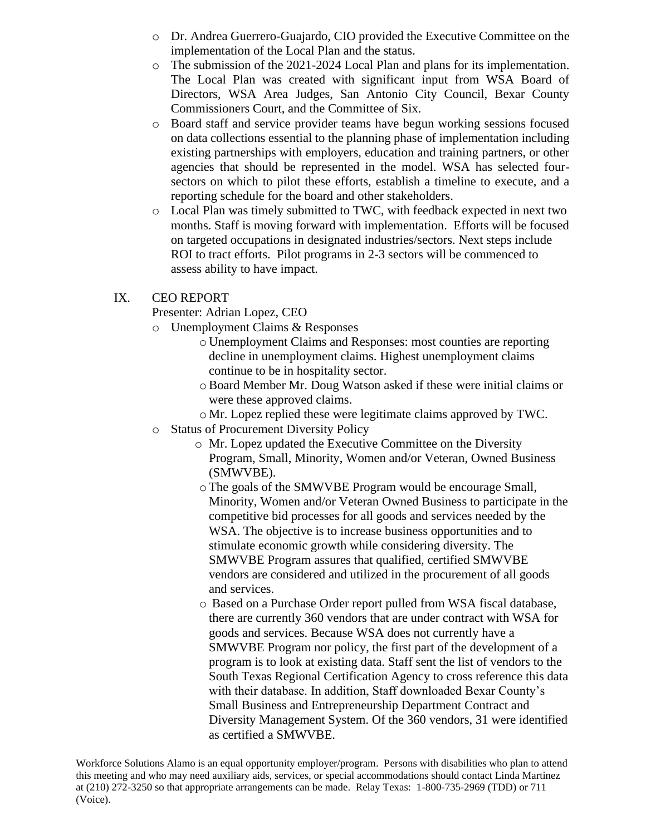- o Dr. Andrea Guerrero-Guajardo, CIO provided the Executive Committee on the implementation of the Local Plan and the status.
- o The submission of the 2021-2024 Local Plan and plans for its implementation. The Local Plan was created with significant input from WSA Board of Directors, WSA Area Judges, San Antonio City Council, Bexar County Commissioners Court, and the Committee of Six.
- o Board staff and service provider teams have begun working sessions focused on data collections essential to the planning phase of implementation including existing partnerships with employers, education and training partners, or other agencies that should be represented in the model. WSA has selected foursectors on which to pilot these efforts, establish a timeline to execute, and a reporting schedule for the board and other stakeholders.
- o Local Plan was timely submitted to TWC, with feedback expected in next two months. Staff is moving forward with implementation. Efforts will be focused on targeted occupations in designated industries/sectors. Next steps include ROI to tract efforts. Pilot programs in 2-3 sectors will be commenced to assess ability to have impact.

#### IX. CEO REPORT

Presenter: Adrian Lopez, CEO

- o Unemployment Claims & Responses
	- o Unemployment Claims and Responses: most counties are reporting decline in unemployment claims. Highest unemployment claims continue to be in hospitality sector.
	- oBoard Member Mr. Doug Watson asked if these were initial claims or were these approved claims.
	- o Mr. Lopez replied these were legitimate claims approved by TWC.
- o Status of Procurement Diversity Policy
	- o Mr. Lopez updated the Executive Committee on the Diversity Program, Small, Minority, Women and/or Veteran, Owned Business (SMWVBE).
	- oThe goals of the SMWVBE Program would be encourage Small, Minority, Women and/or Veteran Owned Business to participate in the competitive bid processes for all goods and services needed by the WSA. The objective is to increase business opportunities and to stimulate economic growth while considering diversity. The SMWVBE Program assures that qualified, certified SMWVBE vendors are considered and utilized in the procurement of all goods and services.
	- o Based on a Purchase Order report pulled from WSA fiscal database, there are currently 360 vendors that are under contract with WSA for goods and services. Because WSA does not currently have a SMWVBE Program nor policy, the first part of the development of a program is to look at existing data. Staff sent the list of vendors to the South Texas Regional Certification Agency to cross reference this data with their database. In addition, Staff downloaded Bexar County's Small Business and Entrepreneurship Department Contract and Diversity Management System. Of the 360 vendors, 31 were identified as certified a SMWVBE.

Workforce Solutions Alamo is an equal opportunity employer/program. Persons with disabilities who plan to attend this meeting and who may need auxiliary aids, services, or special accommodations should contact Linda Martinez at (210) 272-3250 so that appropriate arrangements can be made. Relay Texas: 1-800-735-2969 (TDD) or 711 (Voice).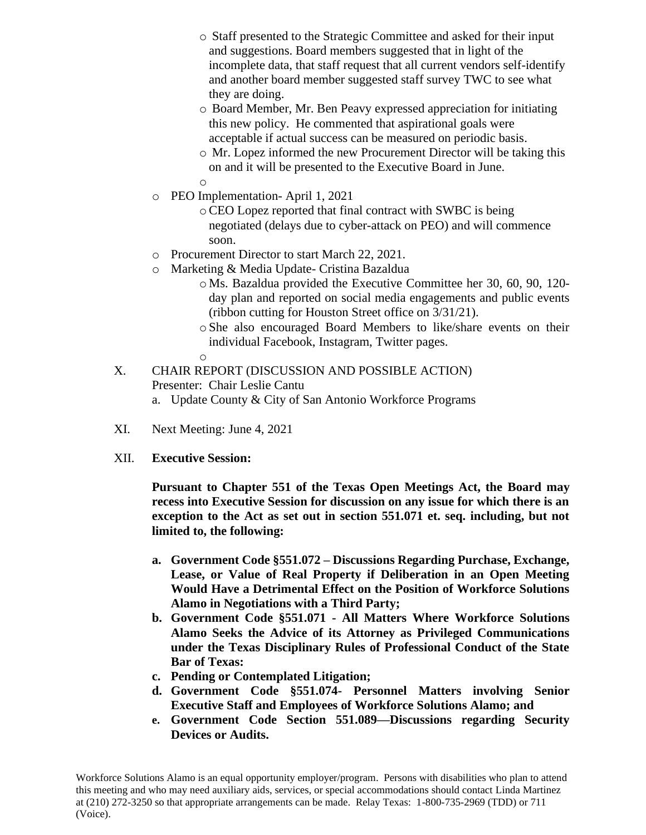- o Staff presented to the Strategic Committee and asked for their input and suggestions. Board members suggested that in light of the incomplete data, that staff request that all current vendors self-identify and another board member suggested staff survey TWC to see what they are doing.
- o Board Member, Mr. Ben Peavy expressed appreciation for initiating this new policy. He commented that aspirational goals were acceptable if actual success can be measured on periodic basis.
- o Mr. Lopez informed the new Procurement Director will be taking this on and it will be presented to the Executive Board in June. o
- o PEO Implementation- April 1, 2021
	- oCEO Lopez reported that final contract with SWBC is being negotiated (delays due to cyber-attack on PEO) and will commence soon.
- o Procurement Director to start March 22, 2021.
- o Marketing & Media Update- Cristina Bazaldua
	- o Ms. Bazaldua provided the Executive Committee her 30, 60, 90, 120 day plan and reported on social media engagements and public events (ribbon cutting for Houston Street office on 3/31/21).
	- o She also encouraged Board Members to like/share events on their individual Facebook, Instagram, Twitter pages.

o

- X. CHAIR REPORT (DISCUSSION AND POSSIBLE ACTION) Presenter: Chair Leslie Cantu a. Update County & City of San Antonio Workforce Programs
- XI. Next Meeting: June 4, 2021
- XII. **Executive Session:**

**Pursuant to Chapter 551 of the Texas Open Meetings Act, the Board may recess into Executive Session for discussion on any issue for which there is an exception to the Act as set out in section 551.071 et. seq. including, but not limited to, the following:** 

- **a. Government Code §551.072 – Discussions Regarding Purchase, Exchange, Lease, or Value of Real Property if Deliberation in an Open Meeting Would Have a Detrimental Effect on the Position of Workforce Solutions Alamo in Negotiations with a Third Party;**
- **b. Government Code §551.071 - All Matters Where Workforce Solutions Alamo Seeks the Advice of its Attorney as Privileged Communications under the Texas Disciplinary Rules of Professional Conduct of the State Bar of Texas:**
- **c. Pending or Contemplated Litigation;**
- **d. Government Code §551.074- Personnel Matters involving Senior Executive Staff and Employees of Workforce Solutions Alamo; and**
- **e. Government Code Section 551.089—Discussions regarding Security Devices or Audits.**